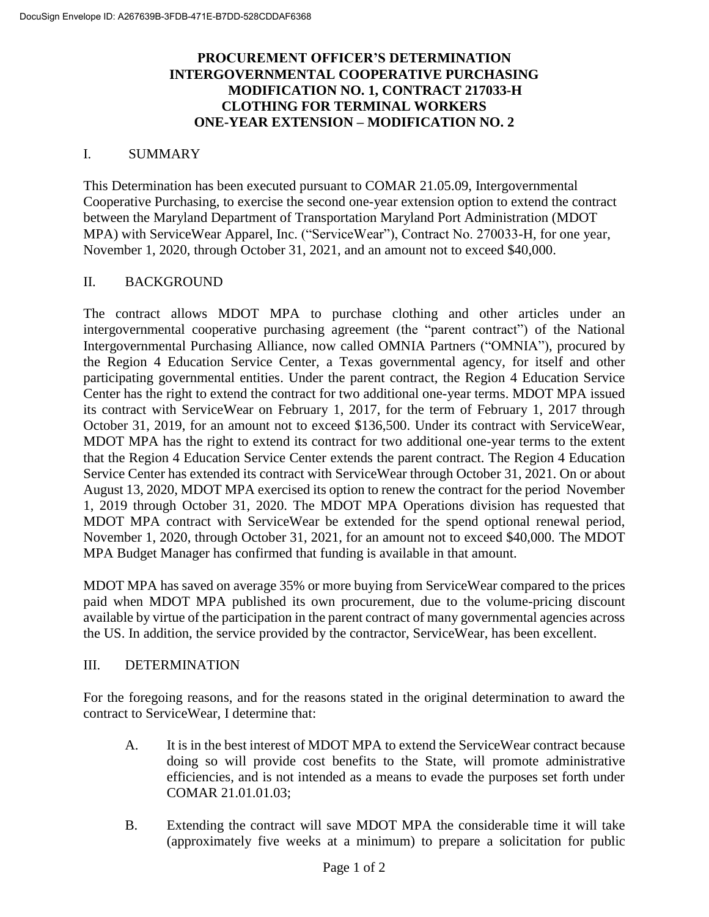## **PROCUREMENT OFFICER'S DETERMINATION INTERGOVERNMENTAL COOPERATIVE PURCHASING MODIFICATION NO. 1, CONTRACT 217033-H CLOTHING FOR TERMINAL WORKERS ONE-YEAR EXTENSION – MODIFICATION NO. 2**

## I. SUMMARY

This Determination has been executed pursuant to COMAR 21.05.09, Intergovernmental Cooperative Purchasing, to exercise the second one-year extension option to extend the contract between the Maryland Department of Transportation Maryland Port Administration (MDOT MPA) with ServiceWear Apparel, Inc. ("ServiceWear"), Contract No. 270033-H, for one year, November 1, 2020, through October 31, 2021, and an amount not to exceed \$40,000.

## II. BACKGROUND

The contract allows MDOT MPA to purchase clothing and other articles under an intergovernmental cooperative purchasing agreement (the "parent contract") of the National Intergovernmental Purchasing Alliance, now called OMNIA Partners ("OMNIA"), procured by the Region 4 Education Service Center, a Texas governmental agency, for itself and other participating governmental entities. Under the parent contract, the Region 4 Education Service Center has the right to extend the contract for two additional one-year terms. MDOT MPA issued its contract with ServiceWear on February 1, 2017, for the term of February 1, 2017 through October 31, 2019, for an amount not to exceed \$136,500. Under its contract with ServiceWear, MDOT MPA has the right to extend its contract for two additional one-year terms to the extent that the Region 4 Education Service Center extends the parent contract. The Region 4 Education Service Center has extended its contract with ServiceWear through October 31, 2021. On or about August 13, 2020, MDOT MPA exercised its option to renew the contract for the period November 1, 2019 through October 31, 2020. The MDOT MPA Operations division has requested that MDOT MPA contract with ServiceWear be extended for the spend optional renewal period, November 1, 2020, through October 31, 2021, for an amount not to exceed \$40,000. The MDOT MPA Budget Manager has confirmed that funding is available in that amount.

MDOT MPA has saved on average 35% or more buying from ServiceWear compared to the prices paid when MDOT MPA published its own procurement, due to the volume-pricing discount available by virtue of the participation in the parent contract of many governmental agencies across the US. In addition, the service provided by the contractor, ServiceWear, has been excellent.

## III. DETERMINATION

For the foregoing reasons, and for the reasons stated in the original determination to award the contract to ServiceWear, I determine that:

- A. It is in the best interest of MDOT MPA to extend the ServiceWear contract because doing so will provide cost benefits to the State, will promote administrative efficiencies, and is not intended as a means to evade the purposes set forth under COMAR 21.01.01.03;
- B. Extending the contract will save MDOT MPA the considerable time it will take (approximately five weeks at a minimum) to prepare a solicitation for public